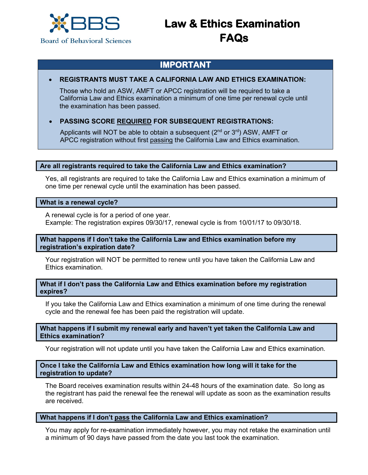

# **Law & Ethics Examination FAQs**

# **IMPORTANT**

# • **REGISTRANTS MUST TAKE A CALIFORNIA LAW AND ETHICS EXAMINATION:**

Those who hold an ASW, AMFT or APCC registration will be required to take a California Law and Ethics examination a minimum of one time per renewal cycle until the examination has been passed.

# • **PASSING SCORE REQUIRED FOR SUBSEQUENT REGISTRATIONS:**

Applicants will NOT be able to obtain a subsequent  $(2^{nd}$  or  $3^{rd})$  ASW, AMFT or APCC registration without first passing the California Law and Ethics examination.

#### **Are all registrants required to take the California Law and Ethics examination?**

Yes, all registrants are required to take the California Law and Ethics examination a minimum of one time per renewal cycle until the examination has been passed.

#### **What is a renewal cycle?**

A renewal cycle is for a period of one year. Example: The registration expires 09/30/17, renewal cycle is from 10/01/17 to 09/30/18.

#### **What happens if I don't take the California Law and Ethics examination before my registration's expiration date?**

Your registration will NOT be permitted to renew until you have taken the California Law and Ethics examination.

#### **What if I don't pass the California Law and Ethics examination before my registration expires?**

If you take the California Law and Ethics examination a minimum of one time during the renewal cycle and the renewal fee has been paid the registration will update.

#### **What happens if I submit my renewal early and haven't yet taken the California Law and Ethics examination?**

Your registration will not update until you have taken the California Law and Ethics examination.

#### **Once I take the California Law and Ethics examination how long will it take for the registration to update?**

The Board receives examination results within 24-48 hours of the examination date. So long as the registrant has paid the renewal fee the renewal will update as soon as the examination results are received.

#### **What happens if I don't pass the California Law and Ethics examination?**

You may apply for re-examination immediately however, you may not retake the examination until a minimum of 90 days have passed from the date you last took the examination.